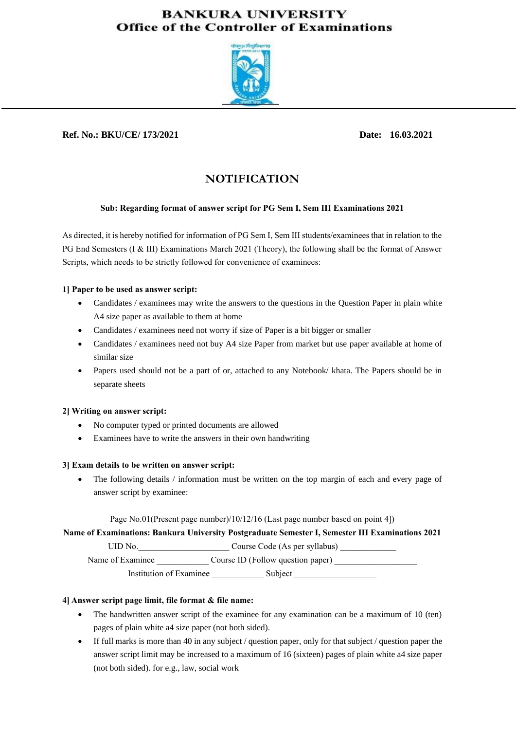## **BANKURA UNIVERSITY Office of the Controller of Examinations**



## **Ref. No.: BKU/CE/ 173/2021 Date: 16.03.2021**

# **NOTIFICATION**

## **Sub: Regarding format of answer script for PG Sem I, Sem III Examinations 2021**

As directed, it is hereby notified for information of PG Sem I, Sem III students/examinees that in relation to the PG End Semesters (I & III) Examinations March 2021 (Theory), the following shall be the format of Answer Scripts, which needs to be strictly followed for convenience of examinees:

## **1] Paper to be used as answer script:**

- Candidates / examinees may write the answers to the questions in the Question Paper in plain white A4 size paper as available to them at home
- Candidates / examinees need not worry if size of Paper is a bit bigger or smaller
- Candidates / examinees need not buy A4 size Paper from market but use paper available at home of similar size
- Papers used should not be a part of or, attached to any Notebook/ khata. The Papers should be in separate sheets

## **2] Writing on answer script:**

- No computer typed or printed documents are allowed
- Examinees have to write the answers in their own handwriting

## **3] Exam details to be written on answer script:**

• The following details / information must be written on the top margin of each and every page of answer script by examinee:

Page No.01(Present page number)/10/12/16 (Last page number based on point 4])

**Name of Examinations: Bankura University Postgraduate Semester I, Semester III Examinations 2021**

UID No. Course Code (As per syllabus)

Name of Examinee Course ID (Follow question paper)

Institution of Examinee Subject

## **4] Answer script page limit, file format & file name:**

- The handwritten answer script of the examinee for any examination can be a maximum of 10 (ten) pages of plain white a4 size paper (not both sided).
- If full marks is more than 40 in any subject / question paper, only for that subject / question paper the answer script limit may be increased to a maximum of 16 (sixteen) pages of plain white a4 size paper (not both sided). for e.g., law, social work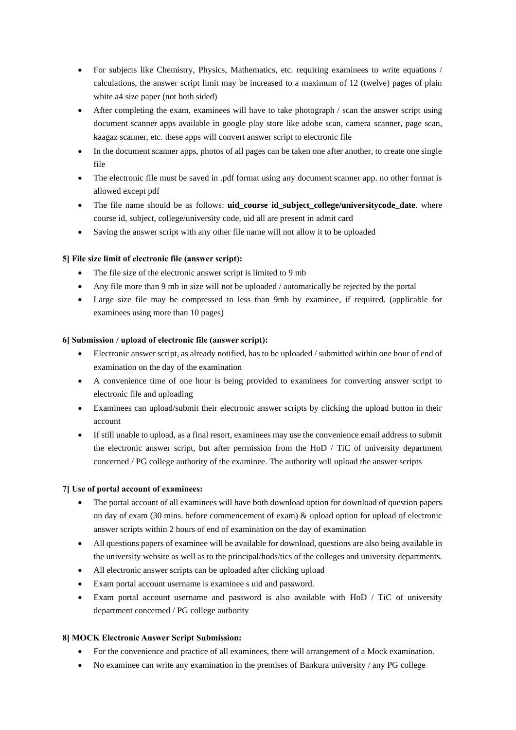- For subjects like Chemistry, Physics, Mathematics, etc. requiring examinees to write equations / calculations, the answer script limit may be increased to a maximum of 12 (twelve) pages of plain white a4 size paper (not both sided)
- After completing the exam, examinees will have to take photograph / scan the answer script using document scanner apps available in google play store like adobe scan, camera scanner, page scan, kaagaz scanner, etc. these apps will convert answer script to electronic file
- In the document scanner apps, photos of all pages can be taken one after another, to create one single file
- The electronic file must be saved in .pdf format using any document scanner app. no other format is allowed except pdf
- The file name should be as follows: **uid course id subject college/universitycode date**. where course id, subject, college/university code, uid all are present in admit card
- Saving the answer script with any other file name will not allow it to be uploaded

## **5] File size limit of electronic file (answer script):**

- The file size of the electronic answer script is limited to 9 mb
- Any file more than 9 mb in size will not be uploaded / automatically be rejected by the portal
- Large size file may be compressed to less than 9mb by examinee, if required. (applicable for examinees using more than 10 pages)

## **6] Submission / upload of electronic file (answer script):**

- Electronic answer script, as already notified, has to be uploaded / submitted within one hour of end of examination on the day of the examination
- A convenience time of one hour is being provided to examinees for converting answer script to electronic file and uploading
- Examinees can upload/submit their electronic answer scripts by clicking the upload button in their account
- If still unable to upload, as a final resort, examinees may use the convenience email address to submit the electronic answer script, but after permission from the HoD / TiC of university department concerned / PG college authority of the examinee. The authority will upload the answer scripts

## **7] Use of portal account of examinees:**

- The portal account of all examinees will have both download option for download of question papers on day of exam (30 mins. before commencement of exam) & upload option for upload of electronic answer scripts within 2 hours of end of examination on the day of examination
- All questions papers of examinee will be available for download, questions are also being available in the university website as well as to the principal/hods/tics of the colleges and university departments.
- All electronic answer scripts can be uploaded after clicking upload
- Exam portal account username is examinee s uid and password.
- Exam portal account username and password is also available with HoD / TiC of university department concerned / PG college authority

## **8] MOCK Electronic Answer Script Submission:**

- For the convenience and practice of all examinees, there will arrangement of a Mock examination.
- No examinee can write any examination in the premises of Bankura university / any PG college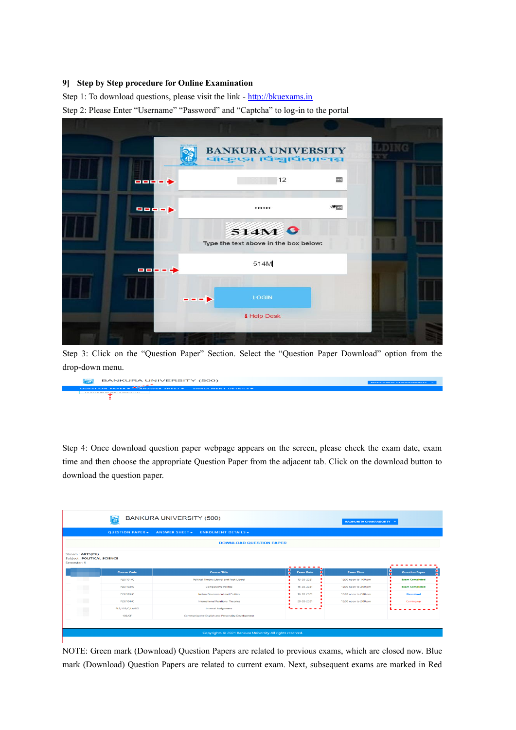#### **9] Step by Step procedure for Online Examination**

Step 1: To download questions, please visit the link - [http://bkuexams.in](http://bkuexams.in/)

Step 2: Please Enter "Username" "Password" and "Captcha" to log-in to the portal

|            | <b>BANKURA UNIVERSITY</b><br>বাঁকুড়া বিশ্ববিদ্যালয় |                                                                                                                  |  |
|------------|------------------------------------------------------|------------------------------------------------------------------------------------------------------------------|--|
| $\cdots$   | 112                                                  | $=$ $=$ $+$ $+$                                                                                                  |  |
| $\bigcirc$ |                                                      | $\blacksquare \blacksquare \blacksquare \blacksquare \blacksquare \blacksquare \blacksquare \blacktriangleright$ |  |
|            | 514M 0<br>Type the text above in the box below:      |                                                                                                                  |  |
|            | 514M                                                 | 中国語・日本                                                                                                           |  |
|            | <b>LOGIN</b>                                         |                                                                                                                  |  |
|            | i Help Desk                                          |                                                                                                                  |  |

Step 3: Click on the "Question Paper" Section. Select the "Question Paper Download" option from the drop-down menu.

| BANKURA UNIVERSITY (500)                                   | <b>MADHUMITA CHAKRABORTY</b> |
|------------------------------------------------------------|------------------------------|
| <b>QUESTION PAPER - ANSWER SHEET - ENROLMENT DETAILS -</b> |                              |
| GUESTION PAPER DOWNLOAD                                    |                              |

Step 4: Once download question paper webpage appears on the screen, please check the exam date, exam time and then choose the appropriate Question Paper from the adjacent tab. Click on the download button to download the question paper.

|                                                               |                    | <b>BANKURA UNIVERSITY (500)</b>                     |                                    | <b>MADHUMITA CHAKRABORTY +</b> |                                        |  |  |
|---------------------------------------------------------------|--------------------|-----------------------------------------------------|------------------------------------|--------------------------------|----------------------------------------|--|--|
|                                                               | QUESTION PAPER -   | <b>ANSWER SHEET -</b><br><b>ENROLMENT DETAILS -</b> |                                    |                                |                                        |  |  |
| <b>DOWNLOAD QUESTION PAPER</b>                                |                    |                                                     |                                    |                                |                                        |  |  |
| Stream: ARTS(PG)<br>Subject: POLITICAL SCIENCE<br>Semester: 1 |                    |                                                     | -------                            |                                |                                        |  |  |
|                                                               |                    |                                                     |                                    |                                |                                        |  |  |
|                                                               | <b>Course Code</b> | <b>Course Title</b>                                 | 8<br>$\bullet$<br><b>Exam Date</b> | <b>Exam Time</b>               | $\frac{0}{0}$<br><b>Question Paper</b> |  |  |
|                                                               | PLS/101/C          | Political Theory: Liberal and Post-Liberal          | 13-03-2021                         | 12:00 noon to 1:00 pm          | <b>Exam Completed</b>                  |  |  |
|                                                               | PLS/102/C          | <b>Comparative Politics</b>                         | 15-03-2021                         | 12:00 noon to 2:00 pm          | <b>Exam Completed</b>                  |  |  |
|                                                               | PLS/103/C          | Indian Government and Politics                      | 16-03-2021                         | 12:00 noon to 2:00 pm          | <b>Download</b>                        |  |  |
|                                                               | PLS/104/C          | <b>International Relations: Theories</b>            | 20-03-2021                         | 12:00 noon to 2:00 pm          | Coming up                              |  |  |
| T M                                                           | PLS/105/C/LA/SG    | <b>Internal Assignment</b>                          |                                    |                                |                                        |  |  |

NOTE: Green mark (Download) Question Papers are related to previous exams, which are closed now. Blue mark (Download) Question Papers are related to current exam. Next, subsequent exams are marked in Red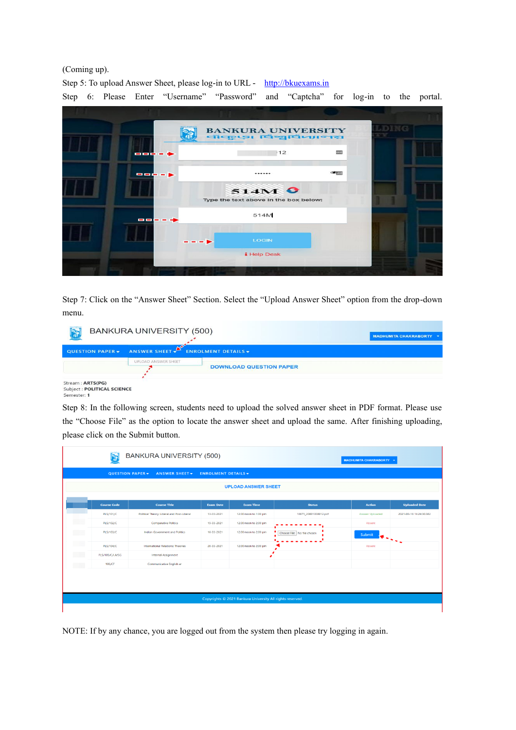#### (Coming up).

Step 5: To upload Answer Sheet, please log-in to URL - [http://bkuexams.in](http://bkuexams.in/) Step 6: Please Enter "Username" "Password" and "Captcha" for log-in to the portal.



Step 7: Click on the "Answer Sheet" Section. Select the "Upload Answer Sheet" option from the drop-down menu.

|                                                               | BANKURA UNIVERSITY (500)       |                                | <b>MADHUMITA CHAKRABORTY *</b> |
|---------------------------------------------------------------|--------------------------------|--------------------------------|--------------------------------|
| QUESTION PAPER -                                              | ANSWER SHEET FIROLMENT DETAILS |                                |                                |
|                                                               | UPLOAD ANSWER SHEET            | <b>DOWNLOAD QUESTION PAPER</b> |                                |
| Stream: ARTS(PG)<br>Subject: POLITICAL SCIENCE<br>Semester: 1 |                                |                                |                                |

Step 8: In the following screen, students need to upload the solved answer sheet in PDF format. Please use the "Choose File" as the option to locate the answer sheet and upload the same. After finishing uploading, please click on the Submit button.

|             | <b>BANKURA UNIVERSITY (500)</b>                           |                                            |                            |                       |                            | <b>MADHUMITA CHAKRABORTY -</b> |                         |  |
|-------------|-----------------------------------------------------------|--------------------------------------------|----------------------------|-----------------------|----------------------------|--------------------------------|-------------------------|--|
|             |                                                           | QUESTION PAPER -<br>ANSWER SHEET -         | <b>ENROLMENT DETAILS -</b> |                       |                            |                                |                         |  |
|             | <b>UPLOAD ANSWER SHEET</b>                                |                                            |                            |                       |                            |                                |                         |  |
|             | <b>Course Code</b>                                        | <b>Course Title</b>                        | <b>Exam Date</b>           | <b>Exam Time</b>      | <b>Status</b>              | <b>Action</b>                  | <b>Uploaded Date</b>    |  |
|             | PLS/101/C                                                 | Political Theory: Liberal and Post-Liberal | 13-03-2021                 | 12:00 noon to 1:00 pm | 10871_20001008012.pdf      | Answer Uploaded                | 2021-03-16 16:24:30.382 |  |
|             | PLS/102/C                                                 | <b>Comparative Politics</b>                | 15-03-2021                 | 12:00 noon to 2:00 pm |                            | Absent                         |                         |  |
| <b>MATH</b> | PLS/103/C                                                 | Indian Government and Politics             | $16 - 03 - 2021$           | 12:00 noon to 2:00 pm | Choose File No file chosen | Submit<br>$\mathbf{F}$         |                         |  |
|             | PLS/104/C                                                 | International Relations: Theories          | 20-03-2021                 | 12:00 noon to 2:00 pm |                            | Absent                         |                         |  |
| <b>BEEN</b> | PLS/105/C/LA/SG                                           | <b>Internal Assignment</b>                 |                            |                       |                            |                                |                         |  |
|             | 106/CF                                                    | Communicative English ar                   |                            |                       |                            |                                |                         |  |
|             |                                                           |                                            |                            |                       |                            |                                |                         |  |
|             | Copyrights © 2021 Bankura University All rights reserved. |                                            |                            |                       |                            |                                |                         |  |
|             |                                                           |                                            |                            |                       |                            |                                |                         |  |

NOTE: If by any chance, you are logged out from the system then please try logging in again.